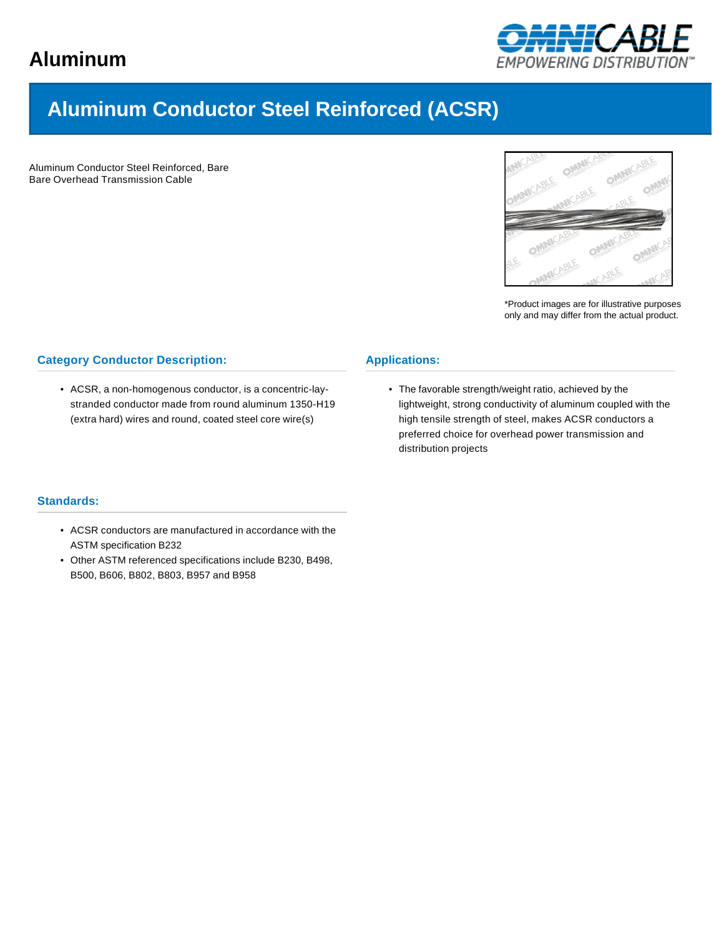

# **Aluminum Conductor Steel Reinforced (ACSR)**

Aluminum Conductor Steel Reinforced, Bare Bare Overhead Transmission Cable



\*Product images are for illustrative purposes only and may differ from the actual product.

## **Category Conductor Description:**

• ACSR, a non-homogenous conductor, is a concentric-laystranded conductor made from round aluminum 1350-H19 (extra hard) wires and round, coated steel core wire(s)

### **Applications:**

• The favorable strength/weight ratio, achieved by the lightweight, strong conductivity of aluminum coupled with the high tensile strength of steel, makes ACSR conductors a preferred choice for overhead power transmission and distribution projects

#### **Standards:**

- ACSR conductors are manufactured in accordance with the ASTM specification B232
- Other ASTM referenced specifications include B230, B498, B500, B606, B802, B803, B957 and B958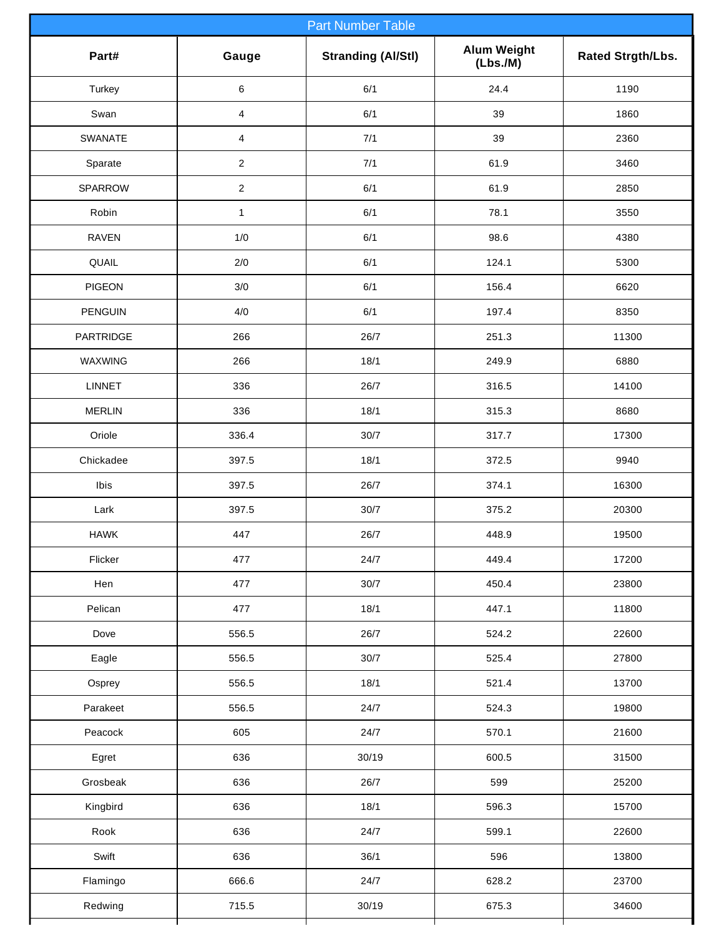| <b>Part Number Table</b> |                         |                           |                               |                   |  |  |  |
|--------------------------|-------------------------|---------------------------|-------------------------------|-------------------|--|--|--|
| Part#                    | Gauge                   | <b>Stranding (Al/Stl)</b> | <b>Alum Weight</b><br>(Lbs.M) | Rated Strgth/Lbs. |  |  |  |
| Turkey                   | 6                       | 6/1                       | 24.4                          | 1190              |  |  |  |
| Swan                     | $\overline{4}$          | 6/1                       | 39                            | 1860              |  |  |  |
| SWANATE                  | $\overline{\mathbf{4}}$ | 7/1                       | 39                            | 2360              |  |  |  |
| Sparate                  | $\overline{2}$          | 7/1                       | 61.9                          | 3460              |  |  |  |
| SPARROW                  | $\overline{2}$          | 6/1                       | 61.9                          | 2850              |  |  |  |
| Robin                    | $\mathbf{1}$            | 6/1                       | 78.1                          | 3550              |  |  |  |
| <b>RAVEN</b>             | 1/0                     | 6/1                       | 98.6                          | 4380              |  |  |  |
| QUAIL                    | 2/0                     | 6/1                       | 124.1                         | 5300              |  |  |  |
| <b>PIGEON</b>            | 3/0                     | 6/1                       | 156.4                         | 6620              |  |  |  |
| <b>PENGUIN</b>           | 4/0                     | 6/1                       | 197.4                         | 8350              |  |  |  |
| <b>PARTRIDGE</b>         | 266                     | 26/7                      | 251.3                         | 11300             |  |  |  |
| WAXWING                  | 266                     | 18/1                      | 249.9                         | 6880              |  |  |  |
| <b>LINNET</b>            | 336                     | 26/7                      | 316.5                         | 14100             |  |  |  |
| <b>MERLIN</b>            | 336                     | 18/1                      | 315.3                         | 8680              |  |  |  |
| Oriole                   | 336.4                   | $30/7$                    | 317.7                         | 17300             |  |  |  |
| Chickadee                | 397.5                   | 18/1                      | 372.5                         | 9940              |  |  |  |
| Ibis                     | 397.5                   | 26/7                      | 374.1                         | 16300             |  |  |  |
| Lark                     | 397.5                   | 30/7                      | 375.2                         | 20300             |  |  |  |
| <b>HAWK</b>              | 447                     | 26/7                      | 448.9                         | 19500             |  |  |  |
| Flicker                  | 477                     | 24/7                      | 449.4                         | 17200             |  |  |  |
| Hen                      | 477                     | 30/7                      | 450.4                         | 23800             |  |  |  |
| Pelican                  | 477                     | 18/1                      | 447.1                         | 11800             |  |  |  |
| Dove                     | 556.5                   | 26/7                      | 524.2                         | 22600             |  |  |  |
| Eagle                    | 556.5                   | $30/7$                    | 525.4                         | 27800             |  |  |  |
| Osprey                   | 556.5                   | 18/1                      | 521.4                         | 13700             |  |  |  |
| Parakeet                 | 556.5                   | 24/7                      | 524.3                         | 19800             |  |  |  |
| Peacock                  | 605                     | 24/7                      | 570.1                         | 21600             |  |  |  |
| Egret                    | 636                     | 30/19                     | 600.5                         | 31500             |  |  |  |
| Grosbeak                 | 636                     | 26/7                      | 599                           | 25200             |  |  |  |
| Kingbird                 | 636                     | 18/1                      | 596.3                         | 15700             |  |  |  |
| Rook                     | 636                     | 24/7                      | 599.1                         | 22600             |  |  |  |
| Swift                    | 636                     | 36/1                      | 596                           | 13800             |  |  |  |
| Flamingo                 | 666.6                   | 24/7                      | 628.2                         | 23700             |  |  |  |
| Redwing                  | 715.5                   | 30/19                     | 675.3                         | 34600             |  |  |  |